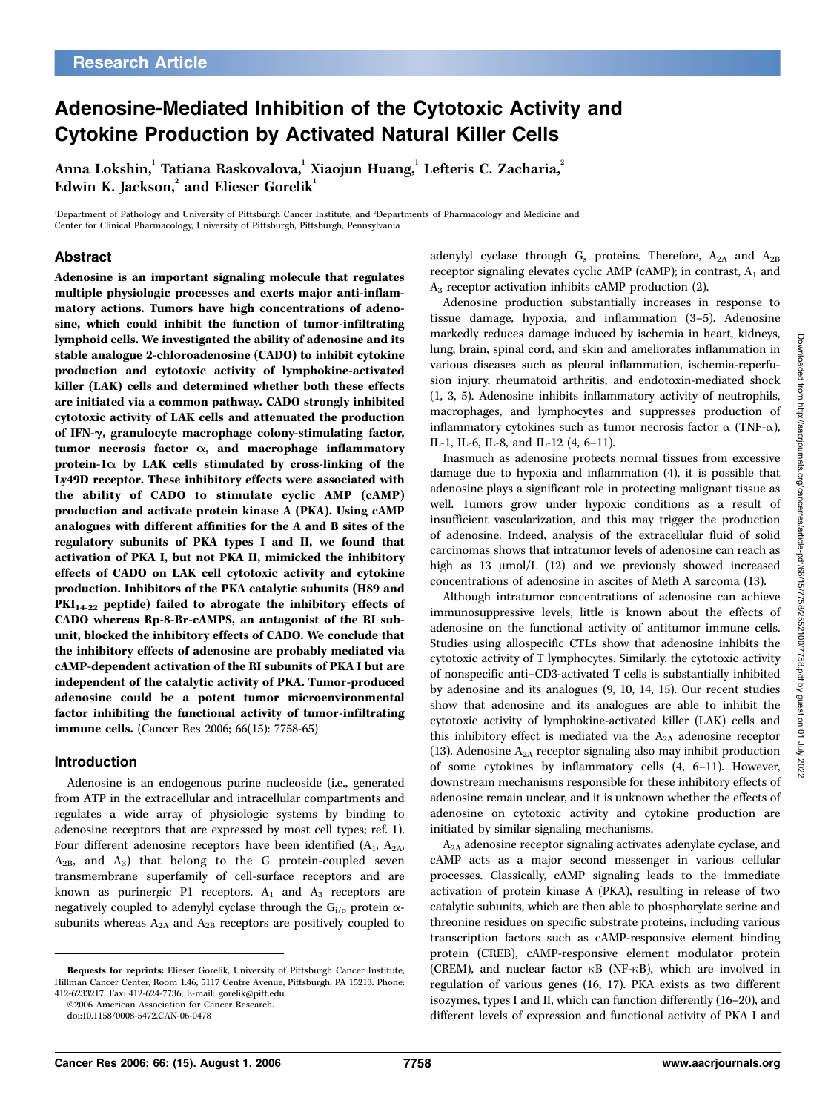# Adenosine-Mediated Inhibition of the Cytotoxic Activity and Cytokine Production by Activated Natural Killer Cells

Anna Lokshin,<sup>1</sup> Tatiana Raskovalova,<sup>1</sup> Xiaojun Huang,<sup>1</sup> Lefteris C. Zacharia,<sup>2</sup> Edwin K. Jackson, $^2$  and Elieser Gorelik $^1$ 

1 Department of Pathology and University of Pittsburgh Cancer Institute, and <sup>2</sup> Departments of Pharmacology and Medicine and Center for Clinical Pharmacology, University of Pittsburgh, Pittsburgh, Pennsylvania

## Abstract

Adenosine is an important signaling molecule that regulates multiple physiologic processes and exerts major anti-inflammatory actions. Tumors have high concentrations of adenosine, which could inhibit the function of tumor-infiltrating lymphoid cells. We investigated the ability of adenosine and its stable analogue 2-chloroadenosine (CADO) to inhibit cytokine production and cytotoxic activity of lymphokine-activated killer (LAK) cells and determined whether both these effects are initiated via a common pathway. CADO strongly inhibited cytotoxic activity of LAK cells and attenuated the production of IFN-y, granulocyte macrophage colony-stimulating factor, tumor necrosis factor  $\alpha$ , and macrophage inflammatory protein-1 $\alpha$  by LAK cells stimulated by cross-linking of the Ly49D receptor. These inhibitory effects were associated with the ability of CADO to stimulate cyclic AMP (cAMP) production and activate protein kinase A (PKA). Using cAMP analogues with different affinities for the A and B sites of the regulatory subunits of PKA types I and II, we found that activation of PKA I, but not PKA II, mimicked the inhibitory effects of CADO on LAK cell cytotoxic activity and cytokine production. Inhibitors of the PKA catalytic subunits (H89 and  $PKI<sub>14-22</sub>$  peptide) failed to abrogate the inhibitory effects of CADO whereas Rp-8-Br-cAMPS, an antagonist of the RI subunit, blocked the inhibitory effects of CADO. We conclude that the inhibitory effects of adenosine are probably mediated via cAMP-dependent activation of the RI subunits of PKA I but are independent of the catalytic activity of PKA. Tumor-produced adenosine could be a potent tumor microenvironmental factor inhibiting the functional activity of tumor-infiltrating immune cells. (Cancer Res 2006; 66(15): 7758-65)

#### Introduction

Adenosine is an endogenous purine nucleoside (i.e., generated from ATP in the extracellular and intracellular compartments and regulates a wide array of physiologic systems by binding to adenosine receptors that are expressed by most cell types; ref. 1). Four different adenosine receptors have been identified  $(A_1, A_2)$ ,  $A_{2B}$ , and  $A_3$ ) that belong to the G protein-coupled seven transmembrane superfamily of cell-surface receptors and are known as purinergic P1 receptors.  $A_1$  and  $A_3$  receptors are negatively coupled to adenylyl cyclase through the  $G_i$ <sub>/0</sub> protein  $\alpha$ subunits whereas  $A_{2A}$  and  $A_{2B}$  receptors are positively coupled to

adenylyl cyclase through  $G_s$  proteins. Therefore,  $A_{2A}$  and  $A_{2B}$ receptor signaling elevates cyclic AMP (cAMP); in contrast,  $A_1$  and A3 receptor activation inhibits cAMP production (2).

Adenosine production substantially increases in response to tissue damage, hypoxia, and inflammation (3–5). Adenosine markedly reduces damage induced by ischemia in heart, kidneys, lung, brain, spinal cord, and skin and ameliorates inflammation in various diseases such as pleural inflammation, ischemia-reperfusion injury, rheumatoid arthritis, and endotoxin-mediated shock (1, 3, 5). Adenosine inhibits inflammatory activity of neutrophils, macrophages, and lymphocytes and suppresses production of inflammatory cytokines such as tumor necrosis factor  $\alpha$  (TNF- $\alpha$ ), IL-1, IL-6, IL-8, and IL-12 (4, 6–11).

Inasmuch as adenosine protects normal tissues from excessive damage due to hypoxia and inflammation (4), it is possible that adenosine plays a significant role in protecting malignant tissue as well. Tumors grow under hypoxic conditions as a result of insufficient vascularization, and this may trigger the production of adenosine. Indeed, analysis of the extracellular fluid of solid carcinomas shows that intratumor levels of adenosine can reach as high as 13  $\mu$ mol/L (12) and we previously showed increased concentrations of adenosine in ascites of Meth A sarcoma (13).

Although intratumor concentrations of adenosine can achieve immunosuppressive levels, little is known about the effects of adenosine on the functional activity of antitumor immune cells. Studies using allospecific CTLs show that adenosine inhibits the cytotoxic activity of T lymphocytes. Similarly, the cytotoxic activity of nonspecific anti–CD3-activated T cells is substantially inhibited by adenosine and its analogues (9, 10, 14, 15). Our recent studies show that adenosine and its analogues are able to inhibit the cytotoxic activity of lymphokine-activated killer (LAK) cells and this inhibitory effect is mediated via the  $A_{2A}$  adenosine receptor (13). Adenosine  $A_{2A}$  receptor signaling also may inhibit production of some cytokines by inflammatory cells (4, 6–11). However, downstream mechanisms responsible for these inhibitory effects of adenosine remain unclear, and it is unknown whether the effects of adenosine on cytotoxic activity and cytokine production are initiated by similar signaling mechanisms.

A2A adenosine receptor signaling activates adenylate cyclase, and cAMP acts as a major second messenger in various cellular processes. Classically, cAMP signaling leads to the immediate activation of protein kinase A (PKA), resulting in release of two catalytic subunits, which are then able to phosphorylate serine and threonine residues on specific substrate proteins, including various transcription factors such as cAMP-responsive element binding protein (CREB), cAMP-responsive element modulator protein (CREM), and nuclear factor  $\kappa B$  (NF- $\kappa B$ ), which are involved in regulation of various genes (16, 17). PKA exists as two different isozymes, types I and II, which can function differently (16–20), and different levels of expression and functional activity of PKA I and

Requests for reprints: Elieser Gorelik, University of Pittsburgh Cancer Institute, Hillman Cancer Center, Room 1.46, 5117 Centre Avenue, Pittsburgh, PA 15213. Phone: 412-6233217; Fax: 412-624-7736; E-mail: gorelik@pitt.edu.

<sup>©2006</sup> American Association for Cancer Research.

doi:10.1158/0008-5472.CAN-06-0478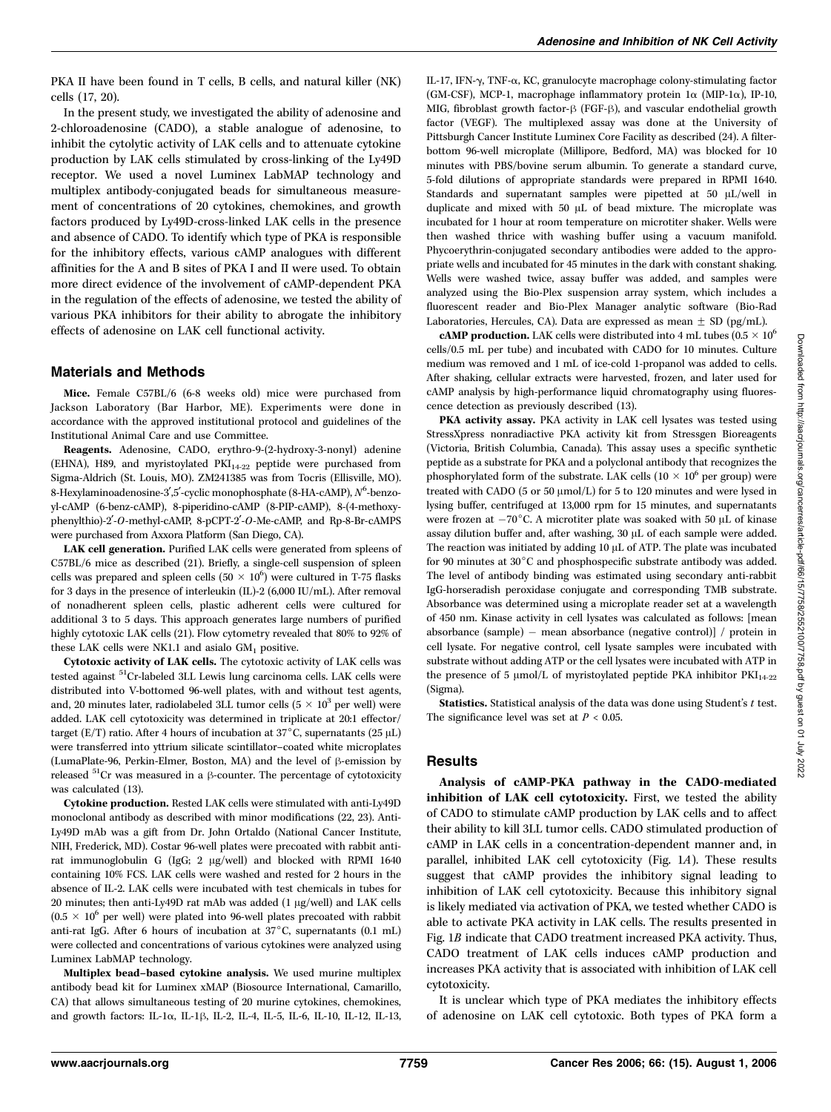PKA II have been found in T cells, B cells, and natural killer (NK) cells (17, 20).

In the present study, we investigated the ability of adenosine and 2-chloroadenosine (CADO), a stable analogue of adenosine, to inhibit the cytolytic activity of LAK cells and to attenuate cytokine production by LAK cells stimulated by cross-linking of the Ly49D receptor. We used a novel Luminex LabMAP technology and multiplex antibody-conjugated beads for simultaneous measurement of concentrations of 20 cytokines, chemokines, and growth factors produced by Ly49D-cross-linked LAK cells in the presence and absence of CADO. To identify which type of PKA is responsible for the inhibitory effects, various cAMP analogues with different affinities for the A and B sites of PKA I and II were used. To obtain more direct evidence of the involvement of cAMP-dependent PKA in the regulation of the effects of adenosine, we tested the ability of various PKA inhibitors for their ability to abrogate the inhibitory effects of adenosine on LAK cell functional activity.

#### Materials and Methods

Mice. Female C57BL/6 (6-8 weeks old) mice were purchased from Jackson Laboratory (Bar Harbor, ME). Experiments were done in accordance with the approved institutional protocol and guidelines of the Institutional Animal Care and use Committee.

Reagents. Adenosine, CADO, erythro-9-(2-hydroxy-3-nonyl) adenine (EHNA), H89, and myristoylated  $PKI<sub>14-22</sub>$  peptide were purchased from Sigma-Aldrich (St. Louis, MO). ZM241385 was from Tocris (Ellisville, MO). 8-Hexylaminoadenosine-3',5'-cyclic monophosphate (8-HA-cAMP),  $N^6$ -benzoyl-cAMP (6-benz-cAMP), 8-piperidino-cAMP (8-PIP-cAMP), 8-(4-methoxyphenylthio)-2'-O-methyl-cAMP, 8-pCPT-2'-O-Me-cAMP, and Rp-8-Br-cAMPS were purchased from Axxora Platform (San Diego, CA).

LAK cell generation. Purified LAK cells were generated from spleens of C57BL/6 mice as described (21). Briefly, a single-cell suspension of spleen cells was prepared and spleen cells  $(50 \times 10^6)$  were cultured in T-75 flasks for 3 days in the presence of interleukin (IL)-2 (6,000 IU/mL). After removal of nonadherent spleen cells, plastic adherent cells were cultured for additional 3 to 5 days. This approach generates large numbers of purified highly cytotoxic LAK cells (21). Flow cytometry revealed that 80% to 92% of these LAK cells were NK1.1 and asialo  $GM<sub>1</sub>$  positive.

Cytotoxic activity of LAK cells. The cytotoxic activity of LAK cells was tested against <sup>51</sup>Cr-labeled 3LL Lewis lung carcinoma cells. LAK cells were distributed into V-bottomed 96-well plates, with and without test agents, and, 20 minutes later, radiolabeled 3LL tumor cells ( $5 \times 10^3$  per well) were added. LAK cell cytotoxicity was determined in triplicate at 20:1 effector/ target (E/T) ratio. After 4 hours of incubation at 37 $^{\circ}$ C, supernatants (25 µL) were transferred into yttrium silicate scintillator–coated white microplates (LumaPlate-96, Perkin-Elmer, Boston, MA) and the level of  $\beta$ -emission by released  ${}^{51}$ Cr was measured in a  $\beta$ -counter. The percentage of cytotoxicity was calculated (13).

Cytokine production. Rested LAK cells were stimulated with anti-Ly49D monoclonal antibody as described with minor modifications (22, 23). Anti-Ly49D mAb was a gift from Dr. John Ortaldo (National Cancer Institute, NIH, Frederick, MD). Costar 96-well plates were precoated with rabbit antirat immunoglobulin G (IgG; 2 µg/well) and blocked with RPMI 1640 containing 10% FCS. LAK cells were washed and rested for 2 hours in the absence of IL-2. LAK cells were incubated with test chemicals in tubes for  $20$  minutes; then anti-Ly49D rat mAb was added (1  $\mu$ g/well) and LAK cells  $(0.5 \times 10^6$  per well) were plated into 96-well plates precoated with rabbit anti-rat IgG. After 6 hours of incubation at  $37^{\circ}$ C, supernatants (0.1 mL) were collected and concentrations of various cytokines were analyzed using Luminex LabMAP technology.

Multiplex bead–based cytokine analysis. We used murine multiplex antibody bead kit for Luminex xMAP (Biosource International, Camarillo, CA) that allows simultaneous testing of 20 murine cytokines, chemokines, and growth factors: IL-1 $\alpha$ , IL-1 $\beta$ , IL-2, IL-4, IL-5, IL-6, IL-10, IL-12, IL-13,

IL-17, IFN-g, TNF-a, KC, granulocyte macrophage colony-stimulating factor (GM-CSF), MCP-1, macrophage inflammatory protein 1a (MIP-1a), IP-10, MIG, fibroblast growth factor- $\beta$  (FGF- $\beta$ ), and vascular endothelial growth factor (VEGF). The multiplexed assay was done at the University of Pittsburgh Cancer Institute Luminex Core Facility as described (24). A filterbottom 96-well microplate (Millipore, Bedford, MA) was blocked for 10 minutes with PBS/bovine serum albumin. To generate a standard curve, 5-fold dilutions of appropriate standards were prepared in RPMI 1640. Standards and supernatant samples were pipetted at 50 µL/well in duplicate and mixed with 50 µL of bead mixture. The microplate was incubated for 1 hour at room temperature on microtiter shaker. Wells were then washed thrice with washing buffer using a vacuum manifold. Phycoerythrin-conjugated secondary antibodies were added to the appropriate wells and incubated for 45 minutes in the dark with constant shaking. Wells were washed twice, assay buffer was added, and samples were analyzed using the Bio-Plex suspension array system, which includes a fluorescent reader and Bio-Plex Manager analytic software (Bio-Rad Laboratories, Hercules, CA). Data are expressed as mean  $\pm$  SD (pg/mL).

**cAMP production.** LAK cells were distributed into 4 mL tubes (0.5  $\times$  10<sup>6</sup> cells/0.5 mL per tube) and incubated with CADO for 10 minutes. Culture medium was removed and 1 mL of ice-cold 1-propanol was added to cells. After shaking, cellular extracts were harvested, frozen, and later used for cAMP analysis by high-performance liquid chromatography using fluorescence detection as previously described (13).

PKA activity assay. PKA activity in LAK cell lysates was tested using StressXpress nonradiactive PKA activity kit from Stressgen Bioreagents (Victoria, British Columbia, Canada). This assay uses a specific synthetic peptide as a substrate for PKA and a polyclonal antibody that recognizes the phosphorylated form of the substrate. LAK cells  $(10 \times 10^6$  per group) were treated with CADO (5 or 50  $\mu$ mol/L) for 5 to 120 minutes and were lysed in lysing buffer, centrifuged at 13,000 rpm for 15 minutes, and supernatants were frozen at  $-70^{\circ}$ C. A microtiter plate was soaked with 50  $\mu$ L of kinase assay dilution buffer and, after washing,  $30 \mu$ L of each sample were added. The reaction was initiated by adding 10 µL of ATP. The plate was incubated for 90 minutes at  $30^{\circ}$ C and phosphospecific substrate antibody was added. The level of antibody binding was estimated using secondary anti-rabbit IgG-horseradish peroxidase conjugate and corresponding TMB substrate. Absorbance was determined using a microplate reader set at a wavelength of 450 nm. Kinase activity in cell lysates was calculated as follows: [mean absorbance (sample) - mean absorbance (negative control)] / protein in cell lysate. For negative control, cell lysate samples were incubated with substrate without adding ATP or the cell lysates were incubated with ATP in the presence of 5  $\mu$ mol/L of myristoylated peptide PKA inhibitor PKI<sub>14-22</sub> (Sigma).

Statistics. Statistical analysis of the data was done using Student's  $t$  test. The significance level was set at  $P < 0.05$ .

#### **Results**

Analysis of cAMP-PKA pathway in the CADO-mediated inhibition of LAK cell cytotoxicity. First, we tested the ability of CADO to stimulate cAMP production by LAK cells and to affect their ability to kill 3LL tumor cells. CADO stimulated production of cAMP in LAK cells in a concentration-dependent manner and, in parallel, inhibited LAK cell cytotoxicity (Fig. 1A). These results suggest that cAMP provides the inhibitory signal leading to inhibition of LAK cell cytotoxicity. Because this inhibitory signal is likely mediated via activation of PKA, we tested whether CADO is able to activate PKA activity in LAK cells. The results presented in Fig. 1B indicate that CADO treatment increased PKA activity. Thus, CADO treatment of LAK cells induces cAMP production and increases PKA activity that is associated with inhibition of LAK cell cytotoxicity.

It is unclear which type of PKA mediates the inhibitory effects of adenosine on LAK cell cytotoxic. Both types of PKA form a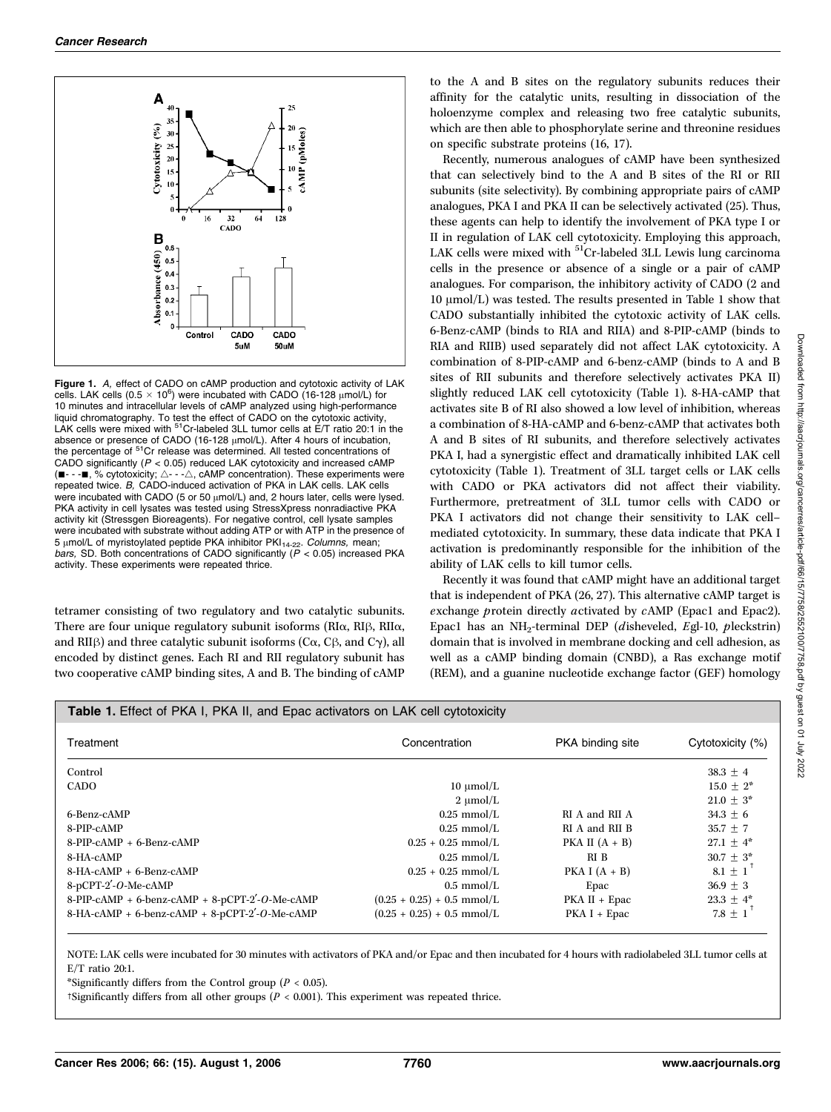

Figure 1. A, effect of CADO on cAMP production and cytotoxic activity of LAK cells. LAK cells  $(0.5 \times 10^6)$  were incubated with CADO (16-128  $\mu$ mol/L) for 10 minutes and intracellular levels of cAMP analyzed using high-performance liquid chromatography. To test the effect of CADO on the cytotoxic activity,<br>LAK cells were mixed with <sup>51</sup>Cr-labeled 3LL tumor cells at E/T ratio 20:1 in the absence or presence of CADO (16-128 μmol/L). After 4 hours of incubation,<br>the percentage of <sup>51</sup>Cr release was determined. All tested concentrations of CADO significantly ( $P < 0.05$ ) reduced LAK cytotoxicity and increased cAMP  $\blacksquare$  - - $\blacksquare$ , % cytotoxicity;  $\triangle$  - - $\triangle$ , cAMP concentration). These experiments were repeated twice. B, CADO-induced activation of PKA in LAK cells. LAK cells were incubated with CADO (5 or 50  $\mu$ mol/L) and, 2 hours later, cells were lysed. PKA activity in cell lysates was tested using StressXpress nonradiactive PKA activity kit (Stressgen Bioreagents). For negative control, cell lysate samples were incubated with substrate without adding ATP or with ATP in the presence of 5 μmol/L of myristoylated peptide PKA inhibitor PKI<sub>14-22</sub>. *Columns,* mean;<br>*bars,* SD. Both concentrations of CADO significantly (P < 0.05) increased PKA activity. These experiments were repeated thrice.

tetramer consisting of two regulatory and two catalytic subunits. There are four unique regulatory subunit isoforms ( $R I\alpha$ ,  $R I\beta$ ,  $R I I\alpha$ , and RII $\beta$ ) and three catalytic subunit isoforms (C $\alpha$ , C $\beta$ , and C $\gamma$ ), all encoded by distinct genes. Each RI and RII regulatory subunit has two cooperative cAMP binding sites, A and B. The binding of cAMP to the A and B sites on the regulatory subunits reduces their affinity for the catalytic units, resulting in dissociation of the holoenzyme complex and releasing two free catalytic subunits, which are then able to phosphorylate serine and threonine residues on specific substrate proteins (16, 17).

Recently, numerous analogues of cAMP have been synthesized that can selectively bind to the A and B sites of the RI or RII subunits (site selectivity). By combining appropriate pairs of cAMP analogues, PKA I and PKA II can be selectively activated (25). Thus, these agents can help to identify the involvement of PKA type I or II in regulation of LAK cell cytotoxicity. Employing this approach, LAK cells were mixed with <sup>51</sup>Cr-labeled 3LL Lewis lung carcinoma cells in the presence or absence of a single or a pair of cAMP analogues. For comparison, the inhibitory activity of CADO (2 and  $10 \mu \text{mol/L}$ ) was tested. The results presented in Table 1 show that CADO substantially inhibited the cytotoxic activity of LAK cells. 6-Benz-cAMP (binds to RIA and RIIA) and 8-PIP-cAMP (binds to RIA and RIIB) used separately did not affect LAK cytotoxicity. A combination of 8-PIP-cAMP and 6-benz-cAMP (binds to A and B sites of RII subunits and therefore selectively activates PKA II) slightly reduced LAK cell cytotoxicity (Table 1). 8-HA-cAMP that activates site B of RI also showed a low level of inhibition, whereas a combination of 8-HA-cAMP and 6-benz-cAMP that activates both A and B sites of RI subunits, and therefore selectively activates PKA I, had a synergistic effect and dramatically inhibited LAK cell cytotoxicity (Table 1). Treatment of 3LL target cells or LAK cells with CADO or PKA activators did not affect their viability. Furthermore, pretreatment of 3LL tumor cells with CADO or PKA I activators did not change their sensitivity to LAK cell– mediated cytotoxicity. In summary, these data indicate that PKA I activation is predominantly responsible for the inhibition of the ability of LAK cells to kill tumor cells.

Recently it was found that cAMP might have an additional target that is independent of PKA (26, 27). This alternative cAMP target is exchange protein directly activated by cAMP (Epac1 and Epac2). Epac1 has an NH<sub>2</sub>-terminal DEP (disheveled, Egl-10, pleckstrin) domain that is involved in membrane docking and cell adhesion, as well as a cAMP binding domain (CNBD), a Ras exchange motif (REM), and a guanine nucleotide exchange factor (GEF) homology

| <b>Table 1.</b> Effect of PKA I, PKA II, and Epac activators on LAK cell cytotoxicity |                              |                  |                  |  |  |
|---------------------------------------------------------------------------------------|------------------------------|------------------|------------------|--|--|
| Treatment                                                                             | Concentration                | PKA binding site | Cytotoxicity (%) |  |  |
| Control                                                                               |                              |                  | $38.3 + 4$       |  |  |
| <b>CADO</b>                                                                           | $10 \mu$ mol/L               |                  | $15.0 + 2^*$     |  |  |
|                                                                                       | $2 \mu$ mol/L                |                  | $21.0 + 3^*$     |  |  |
| 6-Benz-cAMP                                                                           | $0.25$ mmol/L                | RI A and RII A   | $34.3 \pm 6$     |  |  |
| 8-PIP-cAMP                                                                            | $0.25$ mmol/L                | RI A and RII B   | $35.7 + 7$       |  |  |
| 8-PIP-cAMP + 6-Benz-cAMP                                                              | $0.25 + 0.25$ mmol/L         | PKA II $(A + B)$ | $27.1 + 4^*$     |  |  |
| 8-HA-cAMP                                                                             | $0.25$ mmol/L                | RI B             | $30.7 \pm 3^*$   |  |  |
| $8-HA-cAMP + 6-Benz-cAMP$                                                             | $0.25 + 0.25$ mmol/L         | PKA I $(A + B)$  | $8.1 + 1$        |  |  |
| $8-pCPT-2'-O-Me-cAMP$                                                                 | $0.5 \text{ mmol/L}$         | Epac             | $36.9 + 3$       |  |  |
| 8-PIP-cAMP + 6-benz-cAMP + 8-pCPT-2'-O-Me-cAMP                                        | $(0.25 + 0.25) + 0.5$ mmol/L | $PKA II + Epac$  | 23.3 $\pm$ 4*    |  |  |
| 8-HA-cAMP + 6-benz-cAMP + 8-pCPT-2'-O-Me-cAMP                                         | $(0.25 + 0.25) + 0.5$ mmol/L | $PKA I + Epac$   | $7.8 + 1^{\top}$ |  |  |

NOTE: LAK cells were incubated for 30minutes with activators of PKA and/or Epac and then incubated for 4 hours with radiolabeled 3LL tumor cells at E/T ratio 20:1.

\*Significantly differs from the Control group ( $P < 0.05$ ).

<sup>†</sup>Significantly differs from all other groups ( $P < 0.001$ ). This experiment was repeated thrice.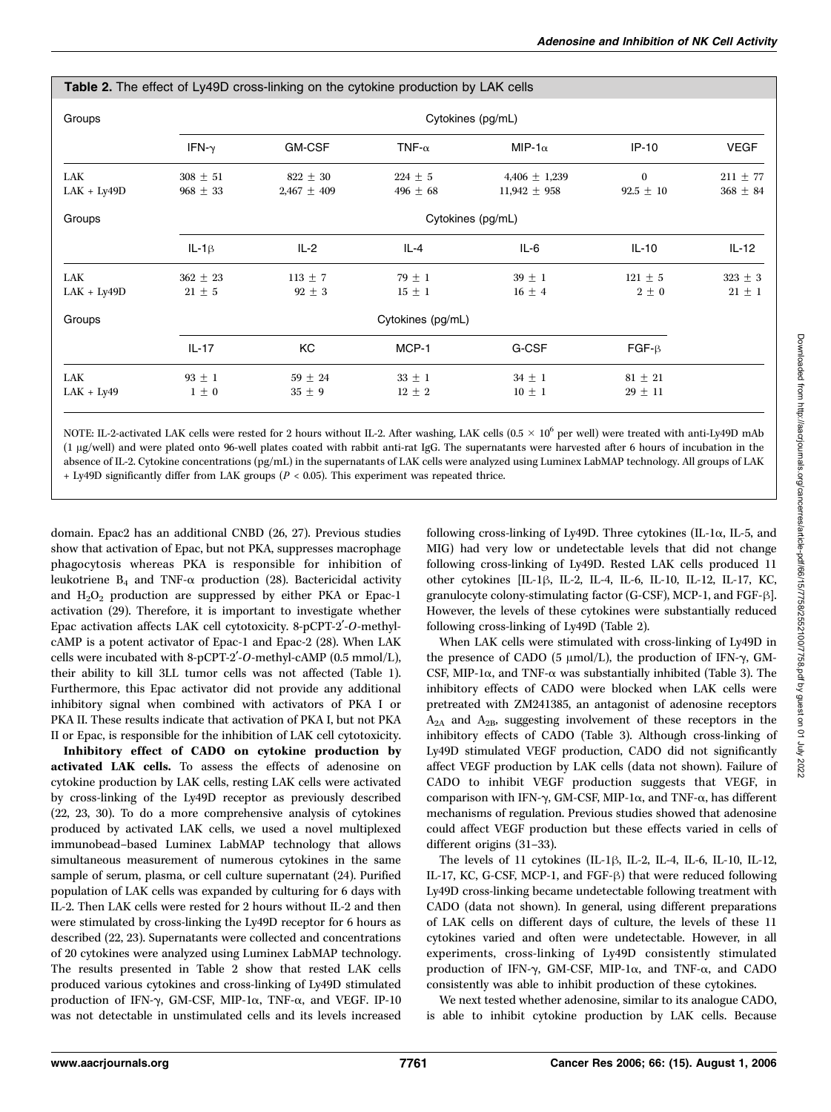| <b>Table 2.</b> The effect of Ly49D cross-linking on the cytokine production by LAK cells |                              |                                 |                             |                                       |                               |                              |  |
|-------------------------------------------------------------------------------------------|------------------------------|---------------------------------|-----------------------------|---------------------------------------|-------------------------------|------------------------------|--|
| Groups                                                                                    |                              | Cytokines (pg/mL)               |                             |                                       |                               |                              |  |
|                                                                                           | IFN- $\gamma$                | <b>GM-CSF</b>                   | TNF- $\alpha$               | MIP-1 $\alpha$                        | $IP-10$                       | <b>VEGF</b>                  |  |
| LAK<br>$LAK + Ly49D$                                                                      | $308 \pm 51$<br>$968 \pm 33$ | $822 \pm 30$<br>$2,467 \pm 409$ | $224 \pm 5$<br>496 $\pm$ 68 | 4,406 $\pm$ 1,239<br>$11,942 \pm 958$ | $\mathbf{0}$<br>$92.5 \pm 10$ | $211 \pm 77$<br>$368 \pm 84$ |  |
| Groups                                                                                    |                              | Cytokines (pg/mL)               |                             |                                       |                               |                              |  |
|                                                                                           | $IL-1\beta$                  | $IL-2$                          | IL-4                        | $IL-6$                                | $IL-10$                       | $IL-12$                      |  |
| LAK<br>$LAK + Ly49D$                                                                      | $362 \pm 23$<br>$21 \pm 5$   | $113 \pm 7$<br>$92 \pm 3$       | $79 \pm 1$<br>$15 \pm 1$    | $39 \pm 1$<br>$16 \pm 4$              | $121 \pm 5$<br>$2\pm 0$       | $323 \pm 3$<br>$21 \pm 1$    |  |
| Groups                                                                                    |                              | Cytokines (pg/mL)               |                             |                                       |                               |                              |  |
|                                                                                           | $IL-17$                      | KC                              | MCP-1                       | G-CSF                                 | $FGF-B$                       |                              |  |
| LAK<br>$LAK + Ly49$                                                                       | $93 \pm 1$<br>$1 \pm 0$      | $59 \pm 24$<br>$35 \pm 9$       | $33 \pm 1$<br>$12 \pm 2$    | $34 \pm 1$<br>$10 \pm 1$              | $81 \pm 21$<br>$29 \pm 11$    |                              |  |

NOTE: IL-2-activated LAK cells were rested for 2 hours without IL-2. After washing, LAK cells  $(0.5 \times 10^6$  per well) were treated with anti-Ly49D mAb (1 Ag/well) and were plated onto 96-well plates coated with rabbit anti-rat IgG. The supernatants were harvested after 6 hours of incubation in the absence of IL-2. Cytokine concentrations (pg/mL) in the supernatants of LAK cells were analyzed using Luminex LabMAP technology. All groups of LAK  $+$  Ly49D significantly differ from LAK groups ( $P < 0.05$ ). This experiment was repeated thrice.

domain. Epac2 has an additional CNBD (26, 27). Previous studies show that activation of Epac, but not PKA, suppresses macrophage phagocytosis whereas PKA is responsible for inhibition of leukotriene  $B_4$  and TNF- $\alpha$  production (28). Bactericidal activity and H2O2 production are suppressed by either PKA or Epac-1 activation (29). Therefore, it is important to investigate whether Epac activation affects LAK cell cytotoxicity. 8-pCPT-2'-O-methylcAMP is a potent activator of Epac-1 and Epac-2 (28). When LAK cells were incubated with 8-pCPT-2'-O-methyl-cAMP (0.5 mmol/L), their ability to kill 3LL tumor cells was not affected (Table 1). Furthermore, this Epac activator did not provide any additional inhibitory signal when combined with activators of PKA I or PKA II. These results indicate that activation of PKA I, but not PKA II or Epac, is responsible for the inhibition of LAK cell cytotoxicity.

Inhibitory effect of CADO on cytokine production by activated LAK cells. To assess the effects of adenosine on cytokine production by LAK cells, resting LAK cells were activated by cross-linking of the Ly49D receptor as previously described (22, 23, 30). To do a more comprehensive analysis of cytokines produced by activated LAK cells, we used a novel multiplexed immunobead–based Luminex LabMAP technology that allows simultaneous measurement of numerous cytokines in the same sample of serum, plasma, or cell culture supernatant (24). Purified population of LAK cells was expanded by culturing for 6 days with IL-2. Then LAK cells were rested for 2 hours without IL-2 and then were stimulated by cross-linking the Ly49D receptor for 6 hours as described (22, 23). Supernatants were collected and concentrations of 20 cytokines were analyzed using Luminex LabMAP technology. The results presented in Table 2 show that rested LAK cells produced various cytokines and cross-linking of Ly49D stimulated production of IFN- $\gamma$ , GM-CSF, MIP-1 $\alpha$ , TNF- $\alpha$ , and VEGF. IP-10 was not detectable in unstimulated cells and its levels increased following cross-linking of Ly49D. Three cytokines (IL-1 $\alpha$ , IL-5, and MIG) had very low or undetectable levels that did not change following cross-linking of Ly49D. Rested LAK cells produced 11 other cytokines [IL-1ß, IL-2, IL-4, IL-6, IL-10, IL-12, IL-17, KC, granulocyte colony-stimulating factor (G-CSF), MCP-1, and FGF- $\beta$ ]. However, the levels of these cytokines were substantially reduced following cross-linking of Ly49D (Table 2).

When LAK cells were stimulated with cross-linking of Ly49D in the presence of CADO (5  $\mu$ mol/L), the production of IFN- $\gamma$ , GM-CSF, MIP-1 $\alpha$ , and TNF- $\alpha$  was substantially inhibited (Table 3). The inhibitory effects of CADO were blocked when LAK cells were pretreated with ZM241385, an antagonist of adenosine receptors  $A_{2A}$  and  $A_{2B}$ , suggesting involvement of these receptors in the inhibitory effects of CADO (Table 3). Although cross-linking of Ly49D stimulated VEGF production, CADO did not significantly affect VEGF production by LAK cells (data not shown). Failure of CADO to inhibit VEGF production suggests that VEGF, in comparison with IFN- $\gamma$ , GM-CSF, MIP-1 $\alpha$ , and TNF- $\alpha$ , has different mechanisms of regulation. Previous studies showed that adenosine could affect VEGF production but these effects varied in cells of different origins (31–33).

The levels of 11 cytokines (IL-1 $\beta$ , IL-2, IL-4, IL-6, IL-10, IL-12, IL-17, KC, G-CSF, MCP-1, and FGF- $\beta$ ) that were reduced following Ly49D cross-linking became undetectable following treatment with CADO (data not shown). In general, using different preparations of LAK cells on different days of culture, the levels of these 11 cytokines varied and often were undetectable. However, in all experiments, cross-linking of Ly49D consistently stimulated production of IFN- $\gamma$ , GM-CSF, MIP-1 $\alpha$ , and TNF- $\alpha$ , and CADO consistently was able to inhibit production of these cytokines.

We next tested whether adenosine, similar to its analogue CADO, is able to inhibit cytokine production by LAK cells. Because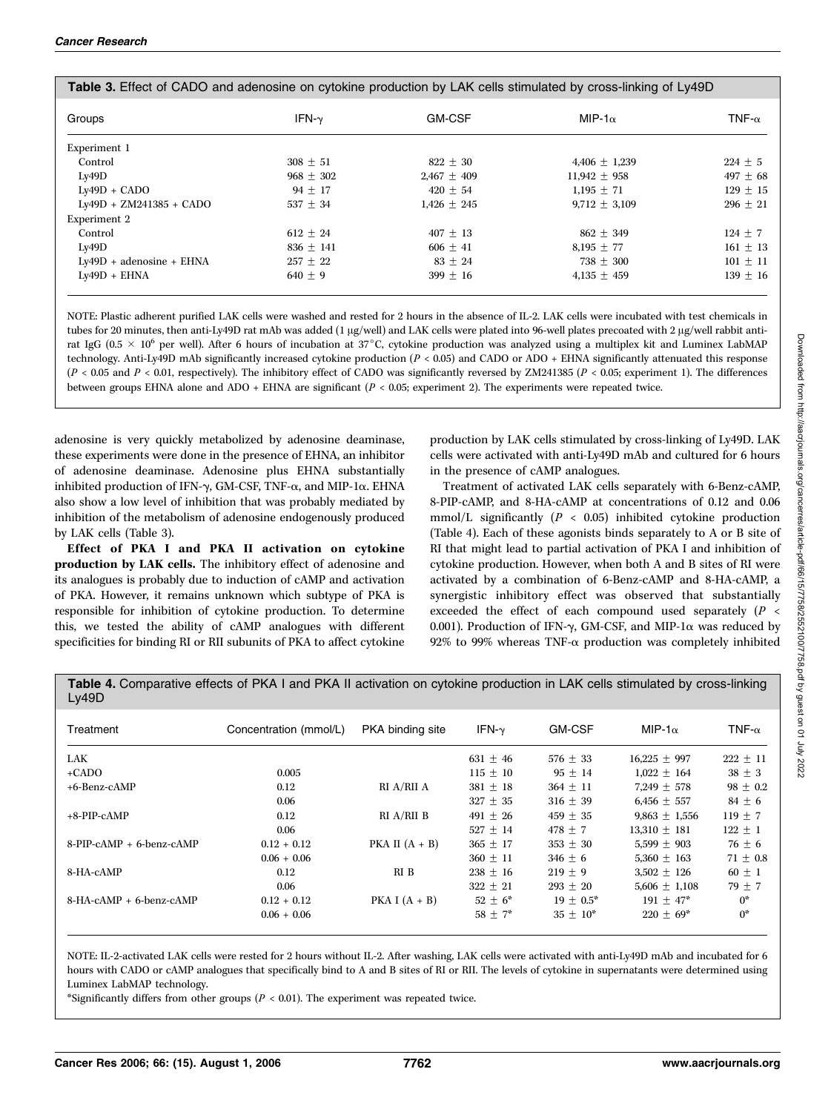| Groups                     | IFN- $\nu$  | <b>GM-CSF</b>   | MIP-1 $\alpha$    | TNF- $\alpha$ |
|----------------------------|-------------|-----------------|-------------------|---------------|
| Experiment 1               |             |                 |                   |               |
| Control                    | $308 + 51$  | $822 + 30$      | $4,406 \pm 1,239$ | $224 + 5$     |
| Lv49D                      | $968 + 302$ | $2.467 + 409$   | $11.942 + 958$    | $497 + 68$    |
| $Ly49D + CADO$             | $94 + 17$   | $420 + 54$      | $1.195 + 71$      | $129 + 15$    |
| Ly49D + ZM241385 + CADO    | $537 + 34$  | $1,426 \pm 245$ | $9.712 + 3.109$   | $296 + 21$    |
| Experiment 2               |             |                 |                   |               |
| Control                    | $612 + 24$  | $407 + 13$      | $862 + 349$       | $124 + 7$     |
| Lv49D                      | $836 + 141$ | $606 + 41$      | $8.195 + 77$      | $161 + 13$    |
| $Ly49D + adenosine + EHNA$ | $257 + 22$  | $83 + 24$       | $738 + 300$       | $101 + 11$    |
| $Lv49D + EHNA$             | $640 + 9$   | $399 + 16$      | 4,135 $\pm$ 459   | $139 + 16$    |

NOTE: Plastic adherent purified LAK cells were washed and rested for 2 hours in the absence of IL-2. LAK cells were incubated with test chemicals in tubes for 20 minutes, then anti-Ly49D rat mAb was added (1 µg/well) and LAK cells were plated into 96-well plates precoated with 2 µg/well rabbit antirat IgG ( $0.5 \times 10^6$  per well). After 6 hours of incubation at 37°C, cytokine production was analyzed using a multiplex kit and Luminex LabMAP technology. Anti-Ly49D mAb significantly increased cytokine production (P < 0.05) and CADO or ADO + EHNA significantly attenuated this response  $(P < 0.05$  and  $P < 0.01$ , respectively). The inhibitory effect of CADO was significantly reversed by ZM241385 ( $P < 0.05$ ; experiment 1). The differences between groups EHNA alone and ADO + EHNA are significant ( $P < 0.05$ ; experiment 2). The experiments were repeated twice.

adenosine is very quickly metabolized by adenosine deaminase, these experiments were done in the presence of EHNA, an inhibitor of adenosine deaminase. Adenosine plus EHNA substantially inhibited production of IFN- $\gamma$ , GM-CSF, TNF- $\alpha$ , and MIP-1 $\alpha$ . EHNA also show a low level of inhibition that was probably mediated by inhibition of the metabolism of adenosine endogenously produced by LAK cells (Table 3).

Effect of PKA I and PKA II activation on cytokine production by LAK cells. The inhibitory effect of adenosine and its analogues is probably due to induction of cAMP and activation of PKA. However, it remains unknown which subtype of PKA is responsible for inhibition of cytokine production. To determine this, we tested the ability of cAMP analogues with different specificities for binding RI or RII subunits of PKA to affect cytokine

production by LAK cells stimulated by cross-linking of Ly49D. LAK cells were activated with anti-Ly49D mAb and cultured for 6 hours in the presence of cAMP analogues.

Treatment of activated LAK cells separately with 6-Benz-cAMP, 8-PIP-cAMP, and 8-HA-cAMP at concentrations of 0.12 and 0.06 mmol/L significantly ( $P < 0.05$ ) inhibited cytokine production (Table 4). Each of these agonists binds separately to A or B site of RI that might lead to partial activation of PKA I and inhibition of cytokine production. However, when both A and B sites of RI were activated by a combination of 6-Benz-cAMP and 8-HA-cAMP, a synergistic inhibitory effect was observed that substantially exceeded the effect of each compound used separately  $(P \leq$ 0.001). Production of IFN- $\gamma$ , GM-CSF, and MIP-1 $\alpha$  was reduced by 92% to 99% whereas TNF- $\alpha$  production was completely inhibited

Table 4. Comparative effects of PKA I and PKA II activation on cytokine production in LAK cells stimulated by cross-linking Ly49D

| Treatment                  | Concentration (mmol/L) | PKA binding site | IFN- $\nu$   | <b>GM-CSF</b> | MIP-1 $\alpha$    | TNF- $\alpha$ |
|----------------------------|------------------------|------------------|--------------|---------------|-------------------|---------------|
| LAK                        |                        |                  | $631 + 46$   | $576 + 33$    | $16.225 + 997$    | $222 \pm 11$  |
| $+$ CADO                   | 0.005                  |                  | $115 + 10$   | $95 + 14$     | $1.022 + 164$     | $38 + 3$      |
| +6-Benz-cAMP               | 0.12                   | RI A/RII A       | $381 + 18$   | $364 + 11$    | $7.249 + 578$     | $98 \pm 0.2$  |
|                            | 0.06                   |                  | $327 + 35$   | $316 + 39$    | $6.456 + 557$     | $84 + 6$      |
| $+8-PIP$ -CAMP             | 0.12                   | RI A/RII B       | 491 $\pm$ 26 | $459 + 35$    | $9,863 \pm 1,556$ | $119 + 7$     |
|                            | 0.06                   |                  | $527 + 14$   | $478 + 7$     | $13.310 + 181$    | $122 \pm 1$   |
| $8-PIP-cAMP + 6-benz-cAMP$ | $0.12 + 0.12$          | PKA II $(A + B)$ | $365 + 17$   | $353 + 30$    | $5.599 + 903$     | $76 + 6$      |
|                            | $0.06 + 0.06$          |                  | $360 + 11$   | $346 + 6$     | $5,360 \pm 163$   | $71 \pm 0.8$  |
| 8-HA-cAMP                  | 0.12                   | RIB              | $238 + 16$   | $219 + 9$     | $3,502 \pm 126$   | $60 \pm 1$    |
|                            | 0.06                   |                  | $322 + 21$   | $293 + 20$    | $5,606 \pm 1,108$ | $79 + 7$      |
| 8-HA-cAMP + 6-benz-cAMP    | $0.12 + 0.12$          | PKA I $(A + B)$  | $52 + 6^*$   | $19 + 0.5^*$  | $191 + 47*$       | $0^*$         |
|                            | $0.06 + 0.06$          |                  | $58 + 7^*$   | $35 + 10^*$   | $220 + 69^*$      | $0^*$         |

NOTE: IL-2-activated LAK cells were rested for 2 hours without IL-2. After washing, LAK cells were activated with anti-Ly49D mAb and incubated for 6 hours with CADO or cAMP analogues that specifically bind to A and B sites of RI or RII. The levels of cytokine in supernatants were determined using Luminex LabMAP technology.

\*Significantly differs from other groups ( $P < 0.01$ ). The experiment was repeated twice.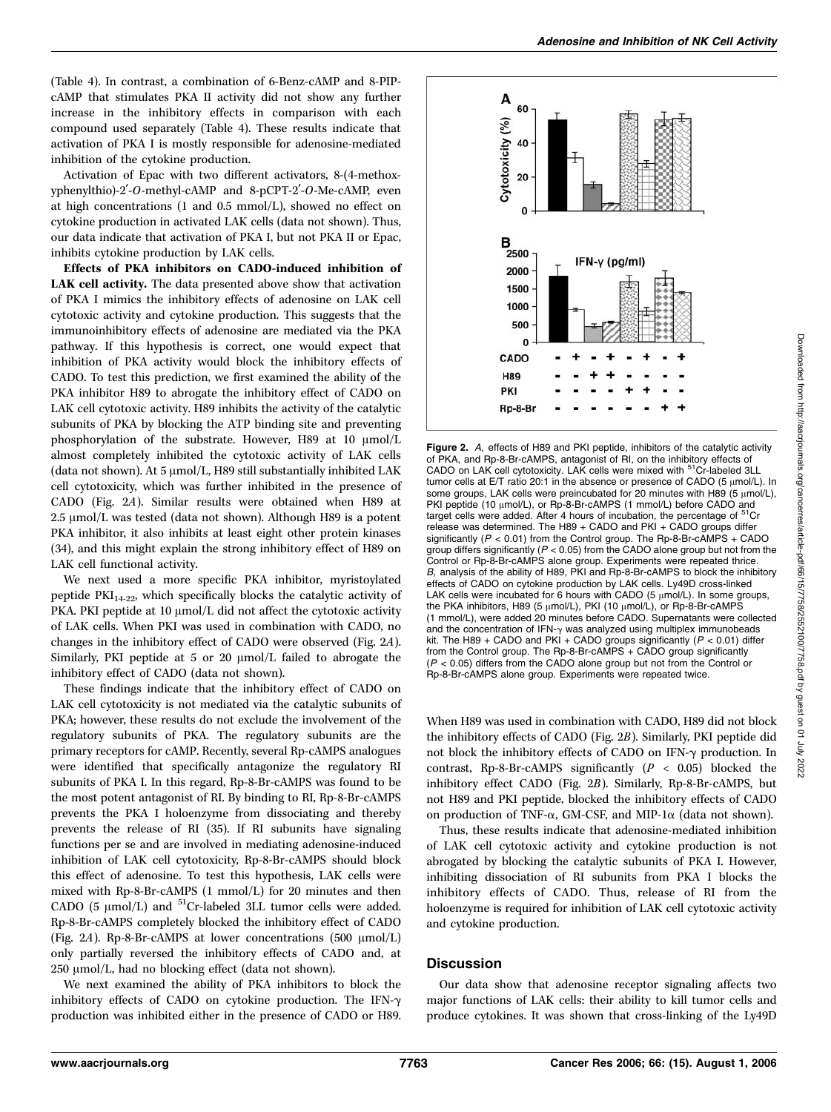(Table 4). In contrast, a combination of 6-Benz-cAMP and 8-PIPcAMP that stimulates PKA II activity did not show any further increase in the inhibitory effects in comparison with each compound used separately (Table 4). These results indicate that activation of PKA I is mostly responsible for adenosine-mediated inhibition of the cytokine production.

Activation of Epac with two different activators, 8-(4-methoxyphenylthio)-2'-O-methyl-cAMP and 8-pCPT-2'-O-Me-cAMP, even at high concentrations (1 and 0.5 mmol/L), showed no effect on cytokine production in activated LAK cells (data not shown). Thus, our data indicate that activation of PKA I, but not PKA II or Epac, inhibits cytokine production by LAK cells.

Effects of PKA inhibitors on CADO-induced inhibition of LAK cell activity. The data presented above show that activation of PKA I mimics the inhibitory effects of adenosine on LAK cell cytotoxic activity and cytokine production. This suggests that the immunoinhibitory effects of adenosine are mediated via the PKA pathway. If this hypothesis is correct, one would expect that inhibition of PKA activity would block the inhibitory effects of CADO. To test this prediction, we first examined the ability of the PKA inhibitor H89 to abrogate the inhibitory effect of CADO on LAK cell cytotoxic activity. H89 inhibits the activity of the catalytic subunits of PKA by blocking the ATP binding site and preventing phosphorylation of the substrate. However, H89 at  $10 \mu \text{mol/L}$ almost completely inhibited the cytotoxic activity of LAK cells (data not shown). At 5  $\mu$ mol/L, H89 still substantially inhibited LAK cell cytotoxicity, which was further inhibited in the presence of CADO (Fig. 2A). Similar results were obtained when H89 at  $2.5 \mu$ mol/L was tested (data not shown). Although H89 is a potent PKA inhibitor, it also inhibits at least eight other protein kinases (34), and this might explain the strong inhibitory effect of H89 on LAK cell functional activity.

We next used a more specific PKA inhibitor, myristoylated peptide  $PKI_{14-22}$ , which specifically blocks the catalytic activity of PKA. PKI peptide at 10 µmol/L did not affect the cytotoxic activity of LAK cells. When PKI was used in combination with CADO, no changes in the inhibitory effect of CADO were observed (Fig. 2A). Similarly, PKI peptide at 5 or 20  $\mu$ mol/L failed to abrogate the inhibitory effect of CADO (data not shown).

These findings indicate that the inhibitory effect of CADO on LAK cell cytotoxicity is not mediated via the catalytic subunits of PKA; however, these results do not exclude the involvement of the regulatory subunits of PKA. The regulatory subunits are the primary receptors for cAMP. Recently, several Rp-cAMPS analogues were identified that specifically antagonize the regulatory RI subunits of PKA I. In this regard, Rp-8-Br-cAMPS was found to be the most potent antagonist of RI. By binding to RI, Rp-8-Br-cAMPS prevents the PKA I holoenzyme from dissociating and thereby prevents the release of RI (35). If RI subunits have signaling functions per se and are involved in mediating adenosine-induced inhibition of LAK cell cytotoxicity, Rp-8-Br-cAMPS should block this effect of adenosine. To test this hypothesis, LAK cells were mixed with Rp-8-Br-cAMPS (1 mmol/L) for 20 minutes and then CADO (5  $\mu$ mol/L) and <sup>51</sup>Cr-labeled 3LL tumor cells were added. Rp-8-Br-cAMPS completely blocked the inhibitory effect of CADO (Fig. 2A). Rp-8-Br-cAMPS at lower concentrations (500  $\mu$ mol/L) only partially reversed the inhibitory effects of CADO and, at 250 µmol/L, had no blocking effect (data not shown).

We next examined the ability of PKA inhibitors to block the inhibitory effects of CADO on cytokine production. The IFN- $\gamma$ production was inhibited either in the presence of CADO or H89.



Figure 2. A, effects of H89 and PKI peptide, inhibitors of the catalytic activity of PKA, and Rp-8-Br-cAMPS, antagonist of RI, on the inhibitory effects of CADO on LAK cell cytotoxicity. LAK cells were mixed with <sup>51</sup>Cr-labeled 3LL tumor cells at E/T ratio 20:1 in the absence or presence of CADO (5  $\mu$ mol/L). In some groups, LAK cells were preincubated for 20 minutes with H89 (5  $\mu$ mol/L), PKI peptide (10 µmol/L), or Rp-8-Br-cAMPS (1 mmol/L) before CADO and target cells were added. After 4 hours of incubation, the percentage of  $51$ release was determined. The H89 + CADO and PKI + CADO groups differ significantly ( $P < 0.01$ ) from the Control group. The Rp-8-Br-cAMPS + CADO group differs significantly ( $P < 0.05$ ) from the CADO alone group but not from the Control or Rp-8-Br-cAMPS alone group. Experiments were repeated thrice. B, analysis of the ability of H89, PKI and Rp-8-Br-cAMPS to block the inhibitory effects of CADO on cytokine production by LAK cells. Ly49D cross-linked LAK cells were incubated for 6 hours with CADO (5  $\mu$ mol/L). In some groups, the PKA inhibitors, H89 (5 µmol/L), PKI (10 µmol/L), or Rp-8-Br-cAMPS (1 mmol/L), were added 20 minutes before CADO. Supernatants were collected and the concentration of  $IFN-\gamma$  was analyzed using multiplex immunobeads kit. The H89 + CADO and PKI + CADO groups significantly ( $P < 0.01$ ) differ from the Control group. The Rp-8-Br-cAMPS + CADO group significantly  $(P < 0.05)$  differs from the CADO alone group but not from the Control or Rp-8-Br-cAMPS alone group. Experiments were repeated twice.

When H89 was used in combination with CADO, H89 did not block the inhibitory effects of CADO (Fig. 2B). Similarly, PKI peptide did not block the inhibitory effects of CADO on IFN-g production. In contrast, Rp-8-Br-cAMPS significantly  $(P < 0.05)$  blocked the inhibitory effect CADO (Fig. 2B). Similarly, Rp-8-Br-cAMPS, but not H89 and PKI peptide, blocked the inhibitory effects of CADO on production of TNF- $\alpha$ , GM-CSF, and MIP-1 $\alpha$  (data not shown).

Thus, these results indicate that adenosine-mediated inhibition of LAK cell cytotoxic activity and cytokine production is not abrogated by blocking the catalytic subunits of PKA I. However, inhibiting dissociation of RI subunits from PKA I blocks the inhibitory effects of CADO. Thus, release of RI from the holoenzyme is required for inhibition of LAK cell cytotoxic activity and cytokine production.

# **Discussion**

Our data show that adenosine receptor signaling affects two major functions of LAK cells: their ability to kill tumor cells and produce cytokines. It was shown that cross-linking of the Ly49D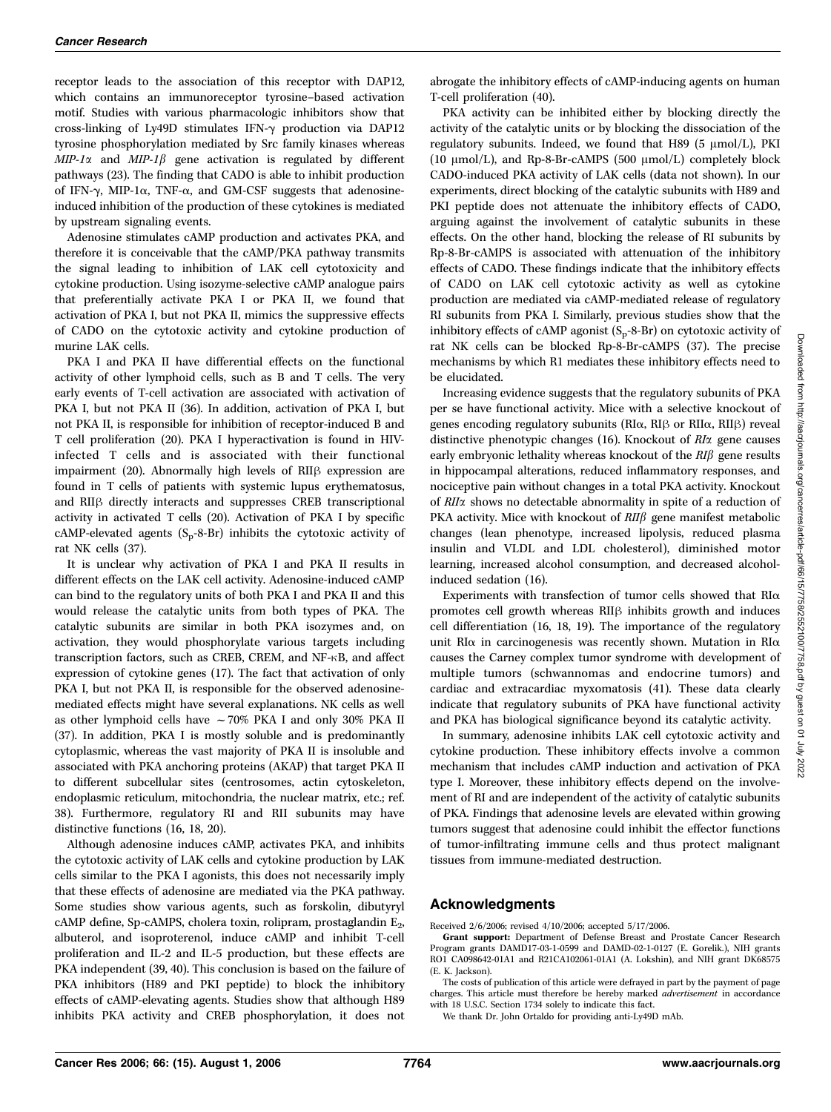receptor leads to the association of this receptor with DAP12, which contains an immunoreceptor tyrosine–based activation motif. Studies with various pharmacologic inhibitors show that cross-linking of Ly49D stimulates IFN- $\gamma$  production via DAP12 tyrosine phosphorylation mediated by Src family kinases whereas  $MIP-1\alpha$  and  $MIP-1\beta$  gene activation is regulated by different pathways (23). The finding that CADO is able to inhibit production of IFN- $\gamma$ , MIP-1 $\alpha$ , TNF- $\alpha$ , and GM-CSF suggests that adenosineinduced inhibition of the production of these cytokines is mediated by upstream signaling events.

Adenosine stimulates cAMP production and activates PKA, and therefore it is conceivable that the cAMP/PKA pathway transmits the signal leading to inhibition of LAK cell cytotoxicity and cytokine production. Using isozyme-selective cAMP analogue pairs that preferentially activate PKA I or PKA II, we found that activation of PKA I, but not PKA II, mimics the suppressive effects of CADO on the cytotoxic activity and cytokine production of murine LAK cells.

PKA I and PKA II have differential effects on the functional activity of other lymphoid cells, such as B and T cells. The very early events of T-cell activation are associated with activation of PKA I, but not PKA II (36). In addition, activation of PKA I, but not PKA II, is responsible for inhibition of receptor-induced B and T cell proliferation (20). PKA I hyperactivation is found in HIVinfected T cells and is associated with their functional impairment  $(20)$ . Abnormally high levels of RII $\beta$  expression are found in T cells of patients with systemic lupus erythematosus, and RII<sub>B</sub> directly interacts and suppresses CREB transcriptional activity in activated T cells (20). Activation of PKA I by specific cAMP-elevated agents  $(S_p - 8 - Br)$  inhibits the cytotoxic activity of rat NK cells (37).

It is unclear why activation of PKA I and PKA II results in different effects on the LAK cell activity. Adenosine-induced cAMP can bind to the regulatory units of both PKA I and PKA II and this would release the catalytic units from both types of PKA. The catalytic subunits are similar in both PKA isozymes and, on activation, they would phosphorylate various targets including transcription factors, such as CREB, CREM, and NF-KB, and affect expression of cytokine genes (17). The fact that activation of only PKA I, but not PKA II, is responsible for the observed adenosinemediated effects might have several explanations. NK cells as well as other lymphoid cells have  $\sim 70\%$  PKA I and only 30% PKA II (37). In addition, PKA I is mostly soluble and is predominantly cytoplasmic, whereas the vast majority of PKA II is insoluble and associated with PKA anchoring proteins (AKAP) that target PKA II to different subcellular sites (centrosomes, actin cytoskeleton, endoplasmic reticulum, mitochondria, the nuclear matrix, etc.; ref. 38). Furthermore, regulatory RI and RII subunits may have distinctive functions (16, 18, 20).

Although adenosine induces cAMP, activates PKA, and inhibits the cytotoxic activity of LAK cells and cytokine production by LAK cells similar to the PKA I agonists, this does not necessarily imply that these effects of adenosine are mediated via the PKA pathway. Some studies show various agents, such as forskolin, dibutyryl cAMP define, Sp-cAMPS, cholera toxin, rolipram, prostaglandin  $E_2$ , albuterol, and isoproterenol, induce cAMP and inhibit T-cell proliferation and IL-2 and IL-5 production, but these effects are PKA independent (39, 40). This conclusion is based on the failure of PKA inhibitors (H89 and PKI peptide) to block the inhibitory effects of cAMP-elevating agents. Studies show that although H89 inhibits PKA activity and CREB phosphorylation, it does not

abrogate the inhibitory effects of cAMP-inducing agents on human T-cell proliferation (40).

PKA activity can be inhibited either by blocking directly the activity of the catalytic units or by blocking the dissociation of the regulatory subunits. Indeed, we found that H89 (5  $\mu$ mol/L), PKI (10  $\mu$ mol/L), and Rp-8-Br-cAMPS (500  $\mu$ mol/L) completely block CADO-induced PKA activity of LAK cells (data not shown). In our experiments, direct blocking of the catalytic subunits with H89 and PKI peptide does not attenuate the inhibitory effects of CADO, arguing against the involvement of catalytic subunits in these effects. On the other hand, blocking the release of RI subunits by Rp-8-Br-cAMPS is associated with attenuation of the inhibitory effects of CADO. These findings indicate that the inhibitory effects of CADO on LAK cell cytotoxic activity as well as cytokine production are mediated via cAMP-mediated release of regulatory RI subunits from PKA I. Similarly, previous studies show that the inhibitory effects of cAMP agonist  $(S_p - 8 - Br)$  on cytotoxic activity of rat NK cells can be blocked Rp-8-Br-cAMPS (37). The precise mechanisms by which R1 mediates these inhibitory effects need to be elucidated.

Increasing evidence suggests that the regulatory subunits of PKA per se have functional activity. Mice with a selective knockout of genes encoding regulatory subunits ( $R I\alpha$ ,  $R I\beta$  or  $R I I\alpha$ ,  $R I I\beta$ ) reveal distinctive phenotypic changes (16). Knockout of RIa gene causes early embryonic lethality whereas knockout of the  $RI\beta$  gene results in hippocampal alterations, reduced inflammatory responses, and nociceptive pain without changes in a total PKA activity. Knockout of RIIa shows no detectable abnormality in spite of a reduction of PKA activity. Mice with knockout of  $RII\beta$  gene manifest metabolic changes (lean phenotype, increased lipolysis, reduced plasma insulin and VLDL and LDL cholesterol), diminished motor learning, increased alcohol consumption, and decreased alcoholinduced sedation (16).

Experiments with transfection of tumor cells showed that  $RI\alpha$ promotes cell growth whereas  $RII\beta$  inhibits growth and induces cell differentiation (16, 18, 19). The importance of the regulatory unit RI $\alpha$  in carcinogenesis was recently shown. Mutation in RI $\alpha$ causes the Carney complex tumor syndrome with development of multiple tumors (schwannomas and endocrine tumors) and cardiac and extracardiac myxomatosis (41). These data clearly indicate that regulatory subunits of PKA have functional activity and PKA has biological significance beyond its catalytic activity.

In summary, adenosine inhibits LAK cell cytotoxic activity and cytokine production. These inhibitory effects involve a common mechanism that includes cAMP induction and activation of PKA type I. Moreover, these inhibitory effects depend on the involvement of RI and are independent of the activity of catalytic subunits of PKA. Findings that adenosine levels are elevated within growing tumors suggest that adenosine could inhibit the effector functions of tumor-infiltrating immune cells and thus protect malignant tissues from immune-mediated destruction.

#### Acknowledgments

Received 2/6/2006; revised 4/10/2006; accepted 5/17/2006.

Grant support: Department of Defense Breast and Prostate Cancer Research Program grants DAMD17-03-1-0599 and DAMD-02-1-0127 (E. Gorelik.), NIH grants RO1 CA098642-01A1 and R21CA102061-01A1 (A. Lokshin), and NIH grant DK68575 (E. K. Jackson).

The costs of publication of this article were defrayed in part by the payment of page charges. This article must therefore be hereby marked advertisement in accordance with 18 U.S.C. Section 1734 solely to indicate this fact.

We thank Dr. John Ortaldo for providing anti-Ly49D mAb.